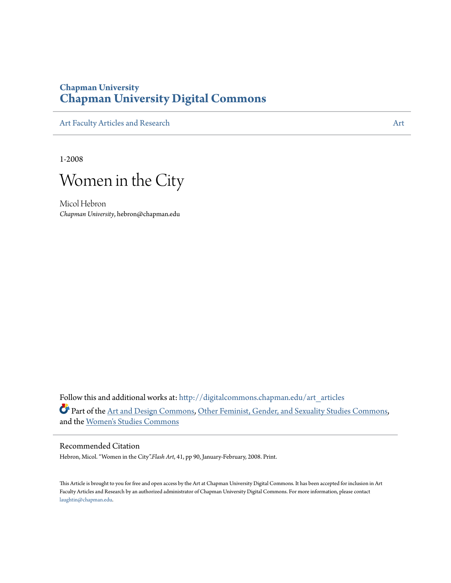### **Chapman University [Chapman University Digital Commons](http://digitalcommons.chapman.edu?utm_source=digitalcommons.chapman.edu%2Fart_articles%2F45&utm_medium=PDF&utm_campaign=PDFCoverPages)**

[Art Faculty Articles and Research](http://digitalcommons.chapman.edu/art_articles?utm_source=digitalcommons.chapman.edu%2Fart_articles%2F45&utm_medium=PDF&utm_campaign=PDFCoverPages) [Art](http://digitalcommons.chapman.edu/art?utm_source=digitalcommons.chapman.edu%2Fart_articles%2F45&utm_medium=PDF&utm_campaign=PDFCoverPages)icles and Research Articles and Articles and Articles and Articles and Articles and Articles and Articles and Articles and Articles and Articles and Articles and Articles and Articles a

1-2008



Micol Hebron *Chapman University*, hebron@chapman.edu

Follow this and additional works at: [http://digitalcommons.chapman.edu/art\\_articles](http://digitalcommons.chapman.edu/art_articles?utm_source=digitalcommons.chapman.edu%2Fart_articles%2F45&utm_medium=PDF&utm_campaign=PDFCoverPages) Part of the [Art and Design Commons,](http://network.bepress.com/hgg/discipline/1049?utm_source=digitalcommons.chapman.edu%2Fart_articles%2F45&utm_medium=PDF&utm_campaign=PDFCoverPages) [Other Feminist, Gender, and Sexuality Studies Commons](http://network.bepress.com/hgg/discipline/562?utm_source=digitalcommons.chapman.edu%2Fart_articles%2F45&utm_medium=PDF&utm_campaign=PDFCoverPages), and the [Women's Studies Commons](http://network.bepress.com/hgg/discipline/561?utm_source=digitalcommons.chapman.edu%2Fart_articles%2F45&utm_medium=PDF&utm_campaign=PDFCoverPages)

#### Recommended Citation

Hebron, Micol. "Women in the City".*Flash Art*, 41, pp 90, January-February, 2008. Print.

This Article is brought to you for free and open access by the Art at Chapman University Digital Commons. It has been accepted for inclusion in Art Faculty Articles and Research by an authorized administrator of Chapman University Digital Commons. For more information, please contact [laughtin@chapman.edu](mailto:laughtin@chapman.edu).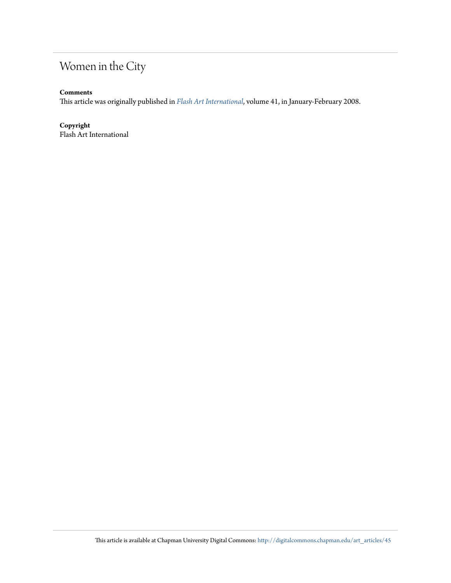## Women in the City

#### **Comments**

This article was originally published in *[Flash Art International](http://www.flashartonline.com/)*, volume 41, in January-February 2008.

#### **Copyright**

Flash Art International